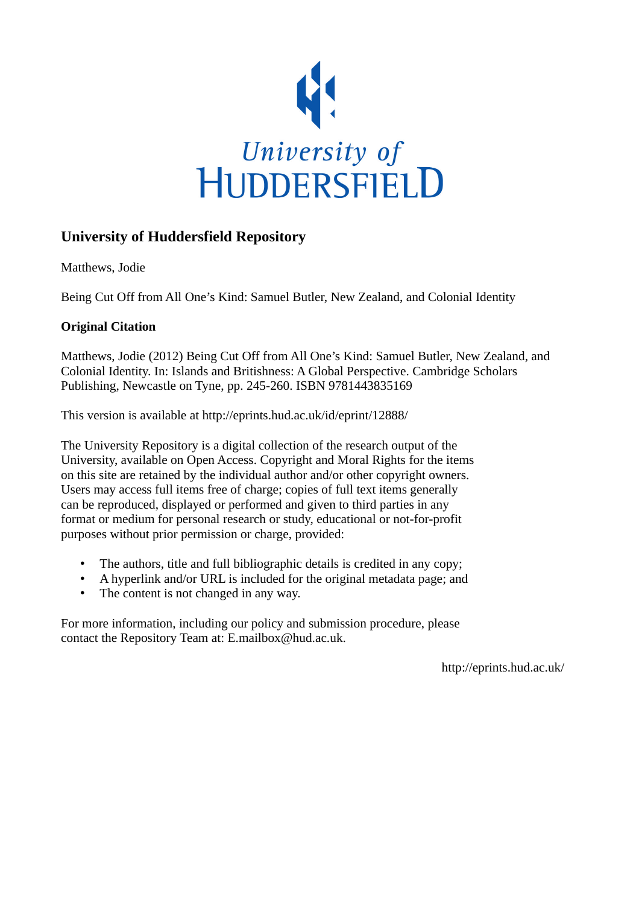

## **University of Huddersfield Repository**

Matthews, Jodie

Being Cut Off from All One's Kind: Samuel Butler, New Zealand, and Colonial Identity

### **Original Citation**

Matthews, Jodie (2012) Being Cut Off from All One's Kind: Samuel Butler, New Zealand, and Colonial Identity. In: Islands and Britishness: A Global Perspective. Cambridge Scholars Publishing, Newcastle on Tyne, pp. 245-260. ISBN 9781443835169

This version is available at http://eprints.hud.ac.uk/id/eprint/12888/

The University Repository is a digital collection of the research output of the University, available on Open Access. Copyright and Moral Rights for the items on this site are retained by the individual author and/or other copyright owners. Users may access full items free of charge; copies of full text items generally can be reproduced, displayed or performed and given to third parties in any format or medium for personal research or study, educational or not-for-profit purposes without prior permission or charge, provided:

- The authors, title and full bibliographic details is credited in any copy;
- A hyperlink and/or URL is included for the original metadata page; and
- The content is not changed in any way.

For more information, including our policy and submission procedure, please contact the Repository Team at: E.mailbox@hud.ac.uk.

http://eprints.hud.ac.uk/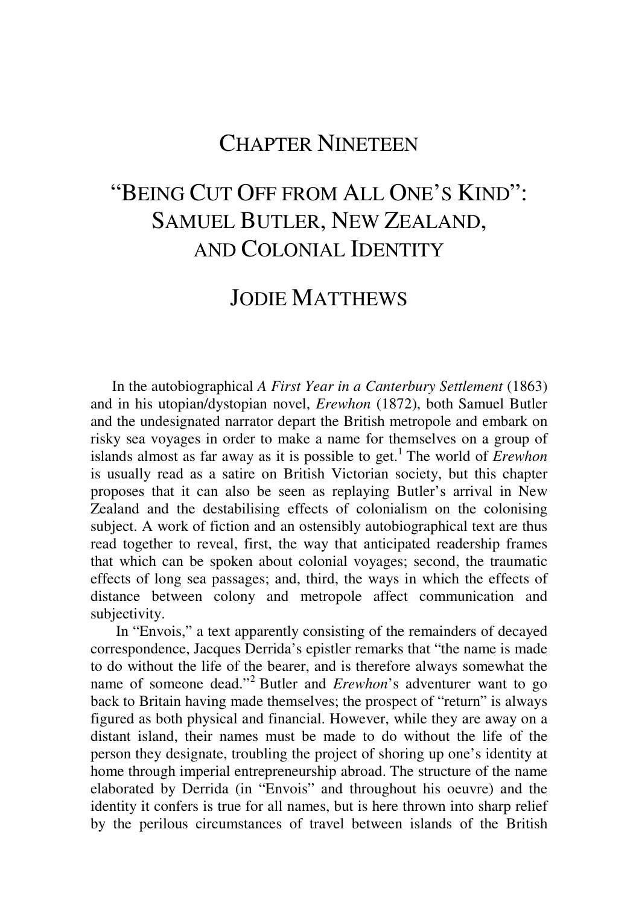## CHAPTER NINETEEN

# "BEING CUT OFF FROM ALL ONE'S KIND": SAMUEL BUTLER, NEW ZEALAND, AND COLONIAL IDENTITY

#### JODIE MATTHEWS

In the autobiographical *A First Year in a Canterbury Settlement* (1863) and in his utopian/dystopian novel, *Erewhon* (1872), both Samuel Butler and the undesignated narrator depart the British metropole and embark on risky sea voyages in order to make a name for themselves on a group of islands almost as far away as it is possible to get. 1 The world of *Erewhon* is usually read as a satire on British Victorian society, but this chapter proposes that it can also be seen as replaying Butler's arrival in New Zealand and the destabilising effects of colonialism on the colonising subject. A work of fiction and an ostensibly autobiographical text are thus read together to reveal, first, the way that anticipated readership frames that which can be spoken about colonial voyages; second, the traumatic effects of long sea passages; and, third, the ways in which the effects of distance between colony and metropole affect communication and subjectivity.

 In "Envois," a text apparently consisting of the remainders of decayed correspondence, Jacques Derrida's epistler remarks that "the name is made to do without the life of the bearer, and is therefore always somewhat the name of someone dead."<sup>2</sup> Butler and *Erewhon*'s adventurer want to go back to Britain having made themselves; the prospect of "return" is always figured as both physical and financial. However, while they are away on a distant island, their names must be made to do without the life of the person they designate, troubling the project of shoring up one's identity at home through imperial entrepreneurship abroad. The structure of the name elaborated by Derrida (in "Envois" and throughout his oeuvre) and the identity it confers is true for all names, but is here thrown into sharp relief by the perilous circumstances of travel between islands of the British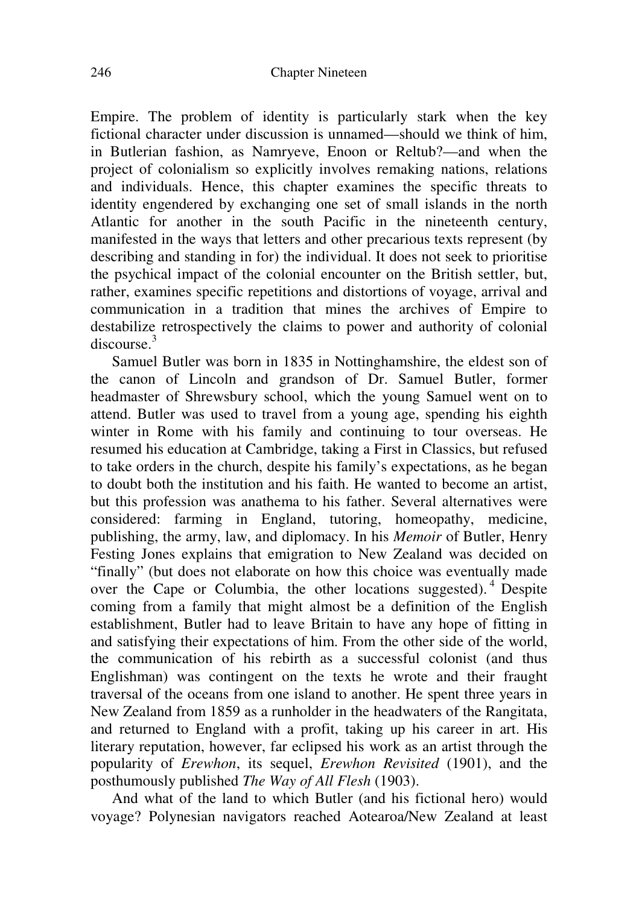Empire. The problem of identity is particularly stark when the key fictional character under discussion is unnamed—should we think of him, in Butlerian fashion, as Namryeve, Enoon or Reltub?—and when the project of colonialism so explicitly involves remaking nations, relations and individuals. Hence, this chapter examines the specific threats to identity engendered by exchanging one set of small islands in the north Atlantic for another in the south Pacific in the nineteenth century, manifested in the ways that letters and other precarious texts represent (by describing and standing in for) the individual. It does not seek to prioritise the psychical impact of the colonial encounter on the British settler, but, rather, examines specific repetitions and distortions of voyage, arrival and communication in a tradition that mines the archives of Empire to destabilize retrospectively the claims to power and authority of colonial discourse.<sup>3</sup>

Samuel Butler was born in 1835 in Nottinghamshire, the eldest son of the canon of Lincoln and grandson of Dr. Samuel Butler, former headmaster of Shrewsbury school, which the young Samuel went on to attend. Butler was used to travel from a young age, spending his eighth winter in Rome with his family and continuing to tour overseas. He resumed his education at Cambridge, taking a First in Classics, but refused to take orders in the church, despite his family's expectations, as he began to doubt both the institution and his faith. He wanted to become an artist, but this profession was anathema to his father. Several alternatives were considered: farming in England, tutoring, homeopathy, medicine, publishing, the army, law, and diplomacy. In his *Memoir* of Butler, Henry Festing Jones explains that emigration to New Zealand was decided on "finally" (but does not elaborate on how this choice was eventually made over the Cape or Columbia, the other locations suggested).<sup>4</sup> Despite coming from a family that might almost be a definition of the English establishment, Butler had to leave Britain to have any hope of fitting in and satisfying their expectations of him. From the other side of the world, the communication of his rebirth as a successful colonist (and thus Englishman) was contingent on the texts he wrote and their fraught traversal of the oceans from one island to another. He spent three years in New Zealand from 1859 as a runholder in the headwaters of the Rangitata, and returned to England with a profit, taking up his career in art. His literary reputation, however, far eclipsed his work as an artist through the popularity of *Erewhon*, its sequel, *Erewhon Revisited* (1901), and the posthumously published *The Way of All Flesh* (1903).

And what of the land to which Butler (and his fictional hero) would voyage? Polynesian navigators reached Aotearoa/New Zealand at least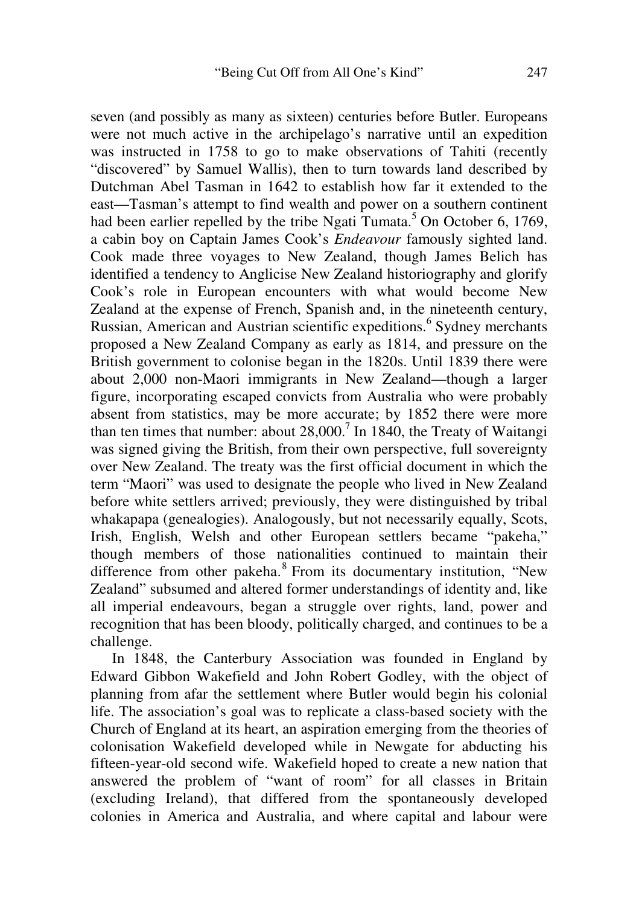seven (and possibly as many as sixteen) centuries before Butler. Europeans were not much active in the archipelago's narrative until an expedition was instructed in 1758 to go to make observations of Tahiti (recently "discovered" by Samuel Wallis), then to turn towards land described by Dutchman Abel Tasman in 1642 to establish how far it extended to the east—Tasman's attempt to find wealth and power on a southern continent had been earlier repelled by the tribe Ngati Tumata.<sup>5</sup> On October 6, 1769, a cabin boy on Captain James Cook's *Endeavour* famously sighted land. Cook made three voyages to New Zealand, though James Belich has identified a tendency to Anglicise New Zealand historiography and glorify Cook's role in European encounters with what would become New Zealand at the expense of French, Spanish and, in the nineteenth century, Russian, American and Austrian scientific expeditions.<sup>6</sup> Sydney merchants proposed a New Zealand Company as early as 1814, and pressure on the British government to colonise began in the 1820s. Until 1839 there were about 2,000 non-Maori immigrants in New Zealand—though a larger figure, incorporating escaped convicts from Australia who were probably absent from statistics, may be more accurate; by 1852 there were more than ten times that number: about  $28,000$ .<sup>7</sup> In 1840, the Treaty of Waitangi was signed giving the British, from their own perspective, full sovereignty over New Zealand. The treaty was the first official document in which the term "Maori" was used to designate the people who lived in New Zealand before white settlers arrived; previously, they were distinguished by tribal whakapapa (genealogies). Analogously, but not necessarily equally, Scots, Irish, English, Welsh and other European settlers became "pakeha," though members of those nationalities continued to maintain their difference from other pakeha.<sup>8</sup> From its documentary institution, "New Zealand" subsumed and altered former understandings of identity and, like all imperial endeavours, began a struggle over rights, land, power and recognition that has been bloody, politically charged, and continues to be a challenge.

In 1848, the Canterbury Association was founded in England by Edward Gibbon Wakefield and John Robert Godley, with the object of planning from afar the settlement where Butler would begin his colonial life. The association's goal was to replicate a class-based society with the Church of England at its heart, an aspiration emerging from the theories of colonisation Wakefield developed while in Newgate for abducting his fifteen-year-old second wife. Wakefield hoped to create a new nation that answered the problem of "want of room" for all classes in Britain (excluding Ireland), that differed from the spontaneously developed colonies in America and Australia, and where capital and labour were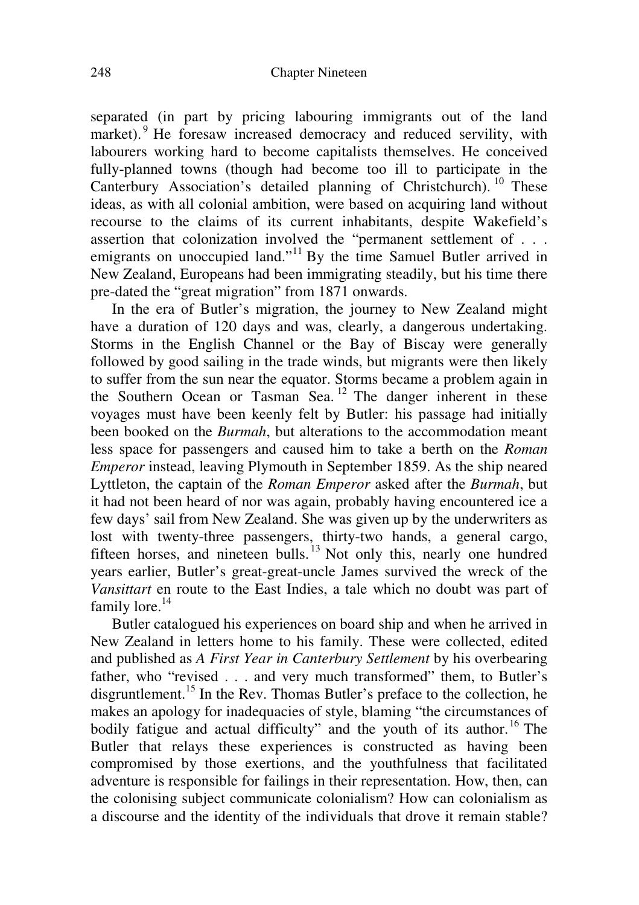separated (in part by pricing labouring immigrants out of the land market).<sup>9</sup> He foresaw increased democracy and reduced servility, with labourers working hard to become capitalists themselves. He conceived fully-planned towns (though had become too ill to participate in the Canterbury Association's detailed planning of Christchurch). <sup>10</sup> These ideas, as with all colonial ambition, were based on acquiring land without recourse to the claims of its current inhabitants, despite Wakefield's assertion that colonization involved the "permanent settlement of . . . emigrants on unoccupied land."<sup>11</sup> By the time Samuel Butler arrived in New Zealand, Europeans had been immigrating steadily, but his time there pre-dated the "great migration" from 1871 onwards.

In the era of Butler's migration, the journey to New Zealand might have a duration of 120 days and was, clearly, a dangerous undertaking. Storms in the English Channel or the Bay of Biscay were generally followed by good sailing in the trade winds, but migrants were then likely to suffer from the sun near the equator. Storms became a problem again in the Southern Ocean or Tasman Sea.<sup>12</sup> The danger inherent in these voyages must have been keenly felt by Butler: his passage had initially been booked on the *Burmah*, but alterations to the accommodation meant less space for passengers and caused him to take a berth on the *Roman Emperor* instead, leaving Plymouth in September 1859. As the ship neared Lyttleton, the captain of the *Roman Emperor* asked after the *Burmah*, but it had not been heard of nor was again, probably having encountered ice a few days' sail from New Zealand. She was given up by the underwriters as lost with twenty-three passengers, thirty-two hands, a general cargo, fifteen horses, and nineteen bulls.<sup>13</sup> Not only this, nearly one hundred years earlier, Butler's great-great-uncle James survived the wreck of the *Vansittart* en route to the East Indies, a tale which no doubt was part of family lore.<sup>14</sup>

Butler catalogued his experiences on board ship and when he arrived in New Zealand in letters home to his family. These were collected, edited and published as *A First Year in Canterbury Settlement* by his overbearing father, who "revised . . . and very much transformed" them, to Butler's disgruntlement.<sup>15</sup> In the Rev. Thomas Butler's preface to the collection, he makes an apology for inadequacies of style, blaming "the circumstances of bodily fatigue and actual difficulty" and the youth of its author.<sup>16</sup> The Butler that relays these experiences is constructed as having been compromised by those exertions, and the youthfulness that facilitated adventure is responsible for failings in their representation. How, then, can the colonising subject communicate colonialism? How can colonialism as a discourse and the identity of the individuals that drove it remain stable?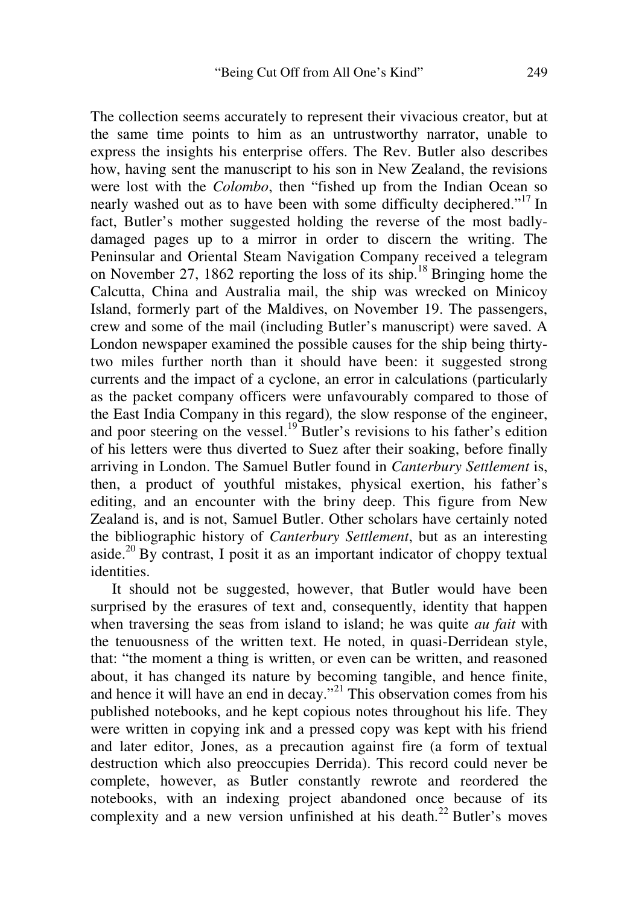The collection seems accurately to represent their vivacious creator, but at the same time points to him as an untrustworthy narrator, unable to express the insights his enterprise offers. The Rev. Butler also describes how, having sent the manuscript to his son in New Zealand, the revisions were lost with the *Colombo*, then "fished up from the Indian Ocean so nearly washed out as to have been with some difficulty deciphered."<sup>17</sup> In fact, Butler's mother suggested holding the reverse of the most badlydamaged pages up to a mirror in order to discern the writing. The Peninsular and Oriental Steam Navigation Company received a telegram on November 27, 1862 reporting the loss of its ship. <sup>18</sup> Bringing home the Calcutta, China and Australia mail, the ship was wrecked on Minicoy Island, formerly part of the Maldives, on November 19. The passengers, crew and some of the mail (including Butler's manuscript) were saved. A London newspaper examined the possible causes for the ship being thirtytwo miles further north than it should have been: it suggested strong currents and the impact of a cyclone, an error in calculations (particularly as the packet company officers were unfavourably compared to those of the East India Company in this regard)*,* the slow response of the engineer, and poor steering on the vessel.<sup>19</sup> Butler's revisions to his father's edition of his letters were thus diverted to Suez after their soaking, before finally arriving in London. The Samuel Butler found in *Canterbury Settlement* is, then, a product of youthful mistakes, physical exertion, his father's editing, and an encounter with the briny deep. This figure from New Zealand is, and is not, Samuel Butler. Other scholars have certainly noted the bibliographic history of *Canterbury Settlement*, but as an interesting aside.<sup>20</sup> By contrast, I posit it as an important indicator of choppy textual identities.

It should not be suggested, however, that Butler would have been surprised by the erasures of text and, consequently, identity that happen when traversing the seas from island to island; he was quite *au fait* with the tenuousness of the written text. He noted, in quasi-Derridean style, that: "the moment a thing is written, or even can be written, and reasoned about, it has changed its nature by becoming tangible, and hence finite, and hence it will have an end in decay."<sup>21</sup> This observation comes from his published notebooks, and he kept copious notes throughout his life. They were written in copying ink and a pressed copy was kept with his friend and later editor, Jones, as a precaution against fire (a form of textual destruction which also preoccupies Derrida). This record could never be complete, however, as Butler constantly rewrote and reordered the notebooks, with an indexing project abandoned once because of its complexity and a new version unfinished at his death.<sup>22</sup> Butler's moves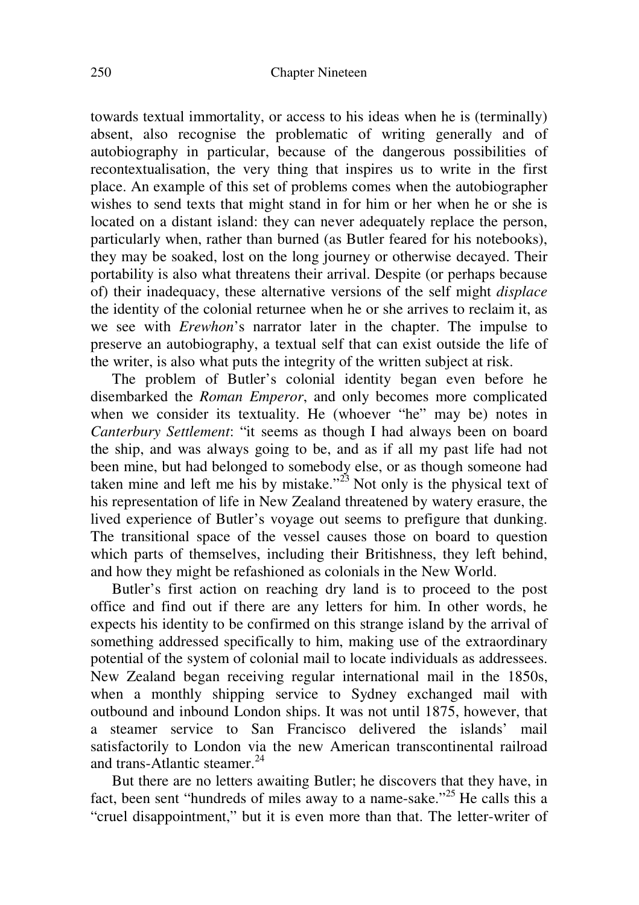towards textual immortality, or access to his ideas when he is (terminally) absent, also recognise the problematic of writing generally and of autobiography in particular, because of the dangerous possibilities of recontextualisation, the very thing that inspires us to write in the first place. An example of this set of problems comes when the autobiographer wishes to send texts that might stand in for him or her when he or she is located on a distant island: they can never adequately replace the person, particularly when, rather than burned (as Butler feared for his notebooks), they may be soaked, lost on the long journey or otherwise decayed. Their portability is also what threatens their arrival. Despite (or perhaps because of) their inadequacy, these alternative versions of the self might *displace* the identity of the colonial returnee when he or she arrives to reclaim it, as we see with *Erewhon*'s narrator later in the chapter. The impulse to preserve an autobiography, a textual self that can exist outside the life of the writer, is also what puts the integrity of the written subject at risk.

The problem of Butler's colonial identity began even before he disembarked the *Roman Emperor*, and only becomes more complicated when we consider its textuality. He (whoever "he" may be) notes in *Canterbury Settlement*: "it seems as though I had always been on board the ship, and was always going to be, and as if all my past life had not been mine, but had belonged to somebody else, or as though someone had taken mine and left me his by mistake."<sup>23</sup> Not only is the physical text of his representation of life in New Zealand threatened by watery erasure, the lived experience of Butler's voyage out seems to prefigure that dunking. The transitional space of the vessel causes those on board to question which parts of themselves, including their Britishness, they left behind, and how they might be refashioned as colonials in the New World.

Butler's first action on reaching dry land is to proceed to the post office and find out if there are any letters for him. In other words, he expects his identity to be confirmed on this strange island by the arrival of something addressed specifically to him, making use of the extraordinary potential of the system of colonial mail to locate individuals as addressees. New Zealand began receiving regular international mail in the 1850s, when a monthly shipping service to Sydney exchanged mail with outbound and inbound London ships. It was not until 1875, however, that a steamer service to San Francisco delivered the islands' mail satisfactorily to London via the new American transcontinental railroad and trans-Atlantic steamer.<sup>24</sup>

But there are no letters awaiting Butler; he discovers that they have, in fact, been sent "hundreds of miles away to a name-sake."<sup>25</sup> He calls this a "cruel disappointment," but it is even more than that. The letter-writer of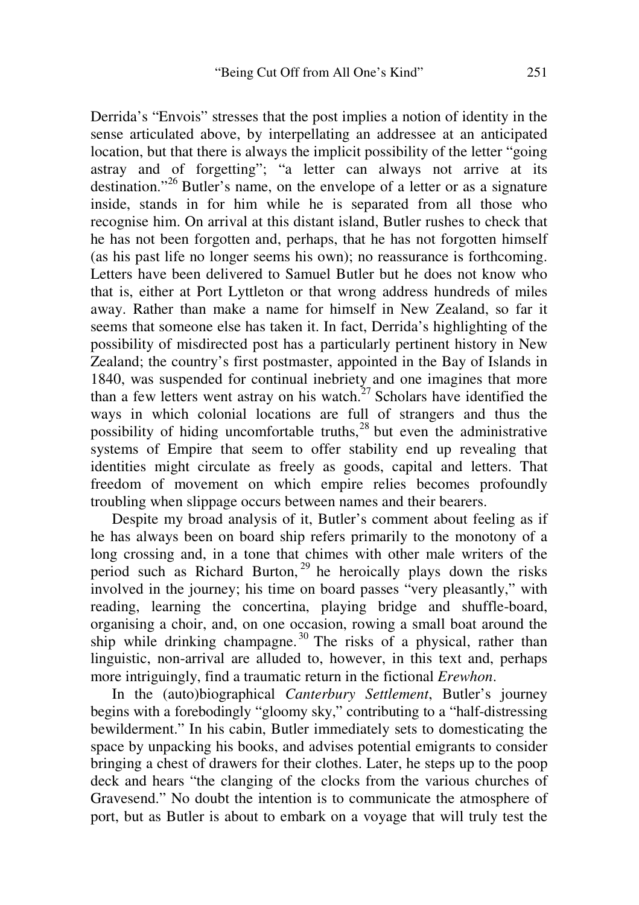Derrida's "Envois" stresses that the post implies a notion of identity in the sense articulated above, by interpellating an addressee at an anticipated location, but that there is always the implicit possibility of the letter "going astray and of forgetting"; "a letter can always not arrive at its destination."<sup>26</sup> Butler's name, on the envelope of a letter or as a signature inside, stands in for him while he is separated from all those who recognise him. On arrival at this distant island, Butler rushes to check that he has not been forgotten and, perhaps, that he has not forgotten himself (as his past life no longer seems his own); no reassurance is forthcoming. Letters have been delivered to Samuel Butler but he does not know who that is, either at Port Lyttleton or that wrong address hundreds of miles away. Rather than make a name for himself in New Zealand, so far it seems that someone else has taken it. In fact, Derrida's highlighting of the possibility of misdirected post has a particularly pertinent history in New Zealand; the country's first postmaster, appointed in the Bay of Islands in 1840, was suspended for continual inebriety and one imagines that more than a few letters went astray on his watch. $27$  Scholars have identified the ways in which colonial locations are full of strangers and thus the possibility of hiding uncomfortable truths,<sup>28</sup> but even the administrative systems of Empire that seem to offer stability end up revealing that identities might circulate as freely as goods, capital and letters. That freedom of movement on which empire relies becomes profoundly troubling when slippage occurs between names and their bearers.

Despite my broad analysis of it, Butler's comment about feeling as if he has always been on board ship refers primarily to the monotony of a long crossing and, in a tone that chimes with other male writers of the period such as Richard Burton,<sup>29</sup> he heroically plays down the risks involved in the journey; his time on board passes "very pleasantly," with reading, learning the concertina, playing bridge and shuffle-board, organising a choir, and, on one occasion, rowing a small boat around the ship while drinking champagne.<sup>30</sup> The risks of a physical, rather than linguistic, non-arrival are alluded to, however, in this text and, perhaps more intriguingly, find a traumatic return in the fictional *Erewhon*.

In the (auto)biographical *Canterbury Settlement*, Butler's journey begins with a forebodingly "gloomy sky," contributing to a "half-distressing bewilderment." In his cabin, Butler immediately sets to domesticating the space by unpacking his books, and advises potential emigrants to consider bringing a chest of drawers for their clothes. Later, he steps up to the poop deck and hears "the clanging of the clocks from the various churches of Gravesend." No doubt the intention is to communicate the atmosphere of port, but as Butler is about to embark on a voyage that will truly test the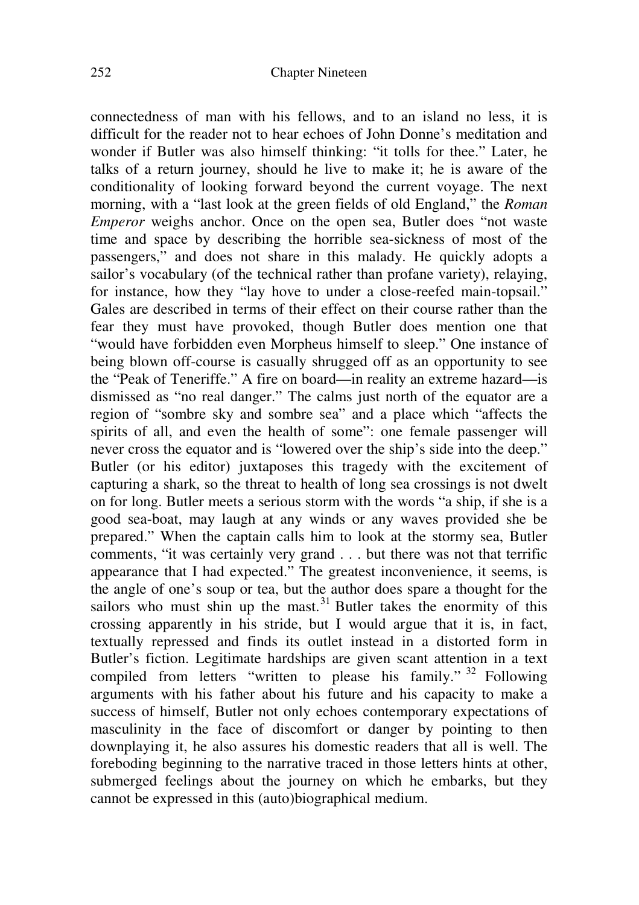connectedness of man with his fellows, and to an island no less, it is difficult for the reader not to hear echoes of John Donne's meditation and wonder if Butler was also himself thinking: "it tolls for thee." Later, he talks of a return journey, should he live to make it; he is aware of the conditionality of looking forward beyond the current voyage. The next morning, with a "last look at the green fields of old England," the *Roman Emperor* weighs anchor. Once on the open sea, Butler does "not waste" time and space by describing the horrible sea-sickness of most of the passengers," and does not share in this malady. He quickly adopts a sailor's vocabulary (of the technical rather than profane variety), relaying, for instance, how they "lay hove to under a close-reefed main-topsail." Gales are described in terms of their effect on their course rather than the fear they must have provoked, though Butler does mention one that "would have forbidden even Morpheus himself to sleep." One instance of being blown off-course is casually shrugged off as an opportunity to see the "Peak of Teneriffe." A fire on board—in reality an extreme hazard—is dismissed as "no real danger." The calms just north of the equator are a region of "sombre sky and sombre sea" and a place which "affects the spirits of all, and even the health of some": one female passenger will never cross the equator and is "lowered over the ship's side into the deep." Butler (or his editor) juxtaposes this tragedy with the excitement of capturing a shark, so the threat to health of long sea crossings is not dwelt on for long. Butler meets a serious storm with the words "a ship, if she is a good sea-boat, may laugh at any winds or any waves provided she be prepared." When the captain calls him to look at the stormy sea, Butler comments, "it was certainly very grand . . . but there was not that terrific appearance that I had expected." The greatest inconvenience, it seems, is the angle of one's soup or tea, but the author does spare a thought for the sailors who must shin up the mast.<sup>31</sup> Butler takes the enormity of this crossing apparently in his stride, but I would argue that it is, in fact, textually repressed and finds its outlet instead in a distorted form in Butler's fiction. Legitimate hardships are given scant attention in a text compiled from letters "written to please his family." <sup>32</sup> Following arguments with his father about his future and his capacity to make a success of himself, Butler not only echoes contemporary expectations of masculinity in the face of discomfort or danger by pointing to then downplaying it, he also assures his domestic readers that all is well. The foreboding beginning to the narrative traced in those letters hints at other, submerged feelings about the journey on which he embarks, but they cannot be expressed in this (auto)biographical medium.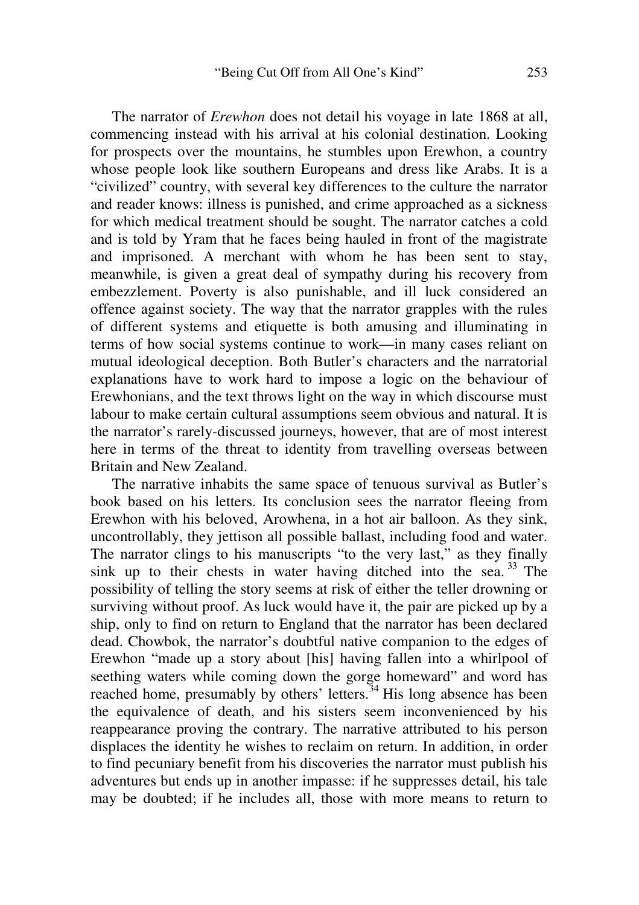The narrator of *Erewhon* does not detail his voyage in late 1868 at all, commencing instead with his arrival at his colonial destination. Looking for prospects over the mountains, he stumbles upon Erewhon, a country whose people look like southern Europeans and dress like Arabs. It is a "civilized" country, with several key differences to the culture the narrator and reader knows: illness is punished, and crime approached as a sickness for which medical treatment should be sought. The narrator catches a cold and is told by Yram that he faces being hauled in front of the magistrate and imprisoned. A merchant with whom he has been sent to stay, meanwhile, is given a great deal of sympathy during his recovery from embezzlement. Poverty is also punishable, and ill luck considered an offence against society. The way that the narrator grapples with the rules of different systems and etiquette is both amusing and illuminating in terms of how social systems continue to work—in many cases reliant on mutual ideological deception. Both Butler's characters and the narratorial explanations have to work hard to impose a logic on the behaviour of Erewhonians, and the text throws light on the way in which discourse must labour to make certain cultural assumptions seem obvious and natural. It is the narrator's rarely-discussed journeys, however, that are of most interest here in terms of the threat to identity from travelling overseas between Britain and New Zealand.

The narrative inhabits the same space of tenuous survival as Butler's book based on his letters. Its conclusion sees the narrator fleeing from Erewhon with his beloved, Arowhena, in a hot air balloon. As they sink, uncontrollably, they jettison all possible ballast, including food and water. The narrator clings to his manuscripts "to the very last," as they finally sink up to their chests in water having ditched into the sea.<sup>33</sup> The possibility of telling the story seems at risk of either the teller drowning or surviving without proof. As luck would have it, the pair are picked up by a ship, only to find on return to England that the narrator has been declared dead. Chowbok, the narrator's doubtful native companion to the edges of Erewhon "made up a story about [his] having fallen into a whirlpool of seething waters while coming down the gorge homeward" and word has reached home, presumably by others' letters.<sup>34</sup> His long absence has been the equivalence of death, and his sisters seem inconvenienced by his reappearance proving the contrary. The narrative attributed to his person displaces the identity he wishes to reclaim on return. In addition, in order to find pecuniary benefit from his discoveries the narrator must publish his adventures but ends up in another impasse: if he suppresses detail, his tale may be doubted; if he includes all, those with more means to return to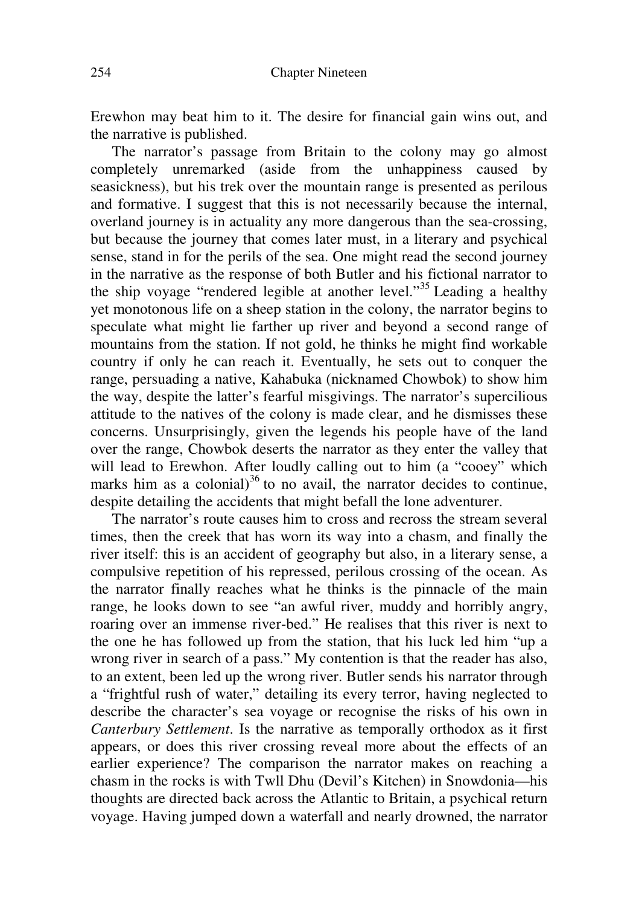Erewhon may beat him to it. The desire for financial gain wins out, and the narrative is published.

The narrator's passage from Britain to the colony may go almost completely unremarked (aside from the unhappiness caused by seasickness), but his trek over the mountain range is presented as perilous and formative. I suggest that this is not necessarily because the internal, overland journey is in actuality any more dangerous than the sea-crossing, but because the journey that comes later must, in a literary and psychical sense, stand in for the perils of the sea. One might read the second journey in the narrative as the response of both Butler and his fictional narrator to the ship voyage "rendered legible at another level."<sup>35</sup> Leading a healthy yet monotonous life on a sheep station in the colony, the narrator begins to speculate what might lie farther up river and beyond a second range of mountains from the station. If not gold, he thinks he might find workable country if only he can reach it. Eventually, he sets out to conquer the range, persuading a native, Kahabuka (nicknamed Chowbok) to show him the way, despite the latter's fearful misgivings. The narrator's supercilious attitude to the natives of the colony is made clear, and he dismisses these concerns. Unsurprisingly, given the legends his people have of the land over the range, Chowbok deserts the narrator as they enter the valley that will lead to Erewhon. After loudly calling out to him (a "cooey" which marks him as a colonial) $36$  to no avail, the narrator decides to continue, despite detailing the accidents that might befall the lone adventurer.

The narrator's route causes him to cross and recross the stream several times, then the creek that has worn its way into a chasm, and finally the river itself: this is an accident of geography but also, in a literary sense, a compulsive repetition of his repressed, perilous crossing of the ocean. As the narrator finally reaches what he thinks is the pinnacle of the main range, he looks down to see "an awful river, muddy and horribly angry, roaring over an immense river-bed." He realises that this river is next to the one he has followed up from the station, that his luck led him "up a wrong river in search of a pass." My contention is that the reader has also, to an extent, been led up the wrong river. Butler sends his narrator through a "frightful rush of water," detailing its every terror, having neglected to describe the character's sea voyage or recognise the risks of his own in *Canterbury Settlement*. Is the narrative as temporally orthodox as it first appears, or does this river crossing reveal more about the effects of an earlier experience? The comparison the narrator makes on reaching a chasm in the rocks is with Twll Dhu (Devil's Kitchen) in Snowdonia—his thoughts are directed back across the Atlantic to Britain, a psychical return voyage. Having jumped down a waterfall and nearly drowned, the narrator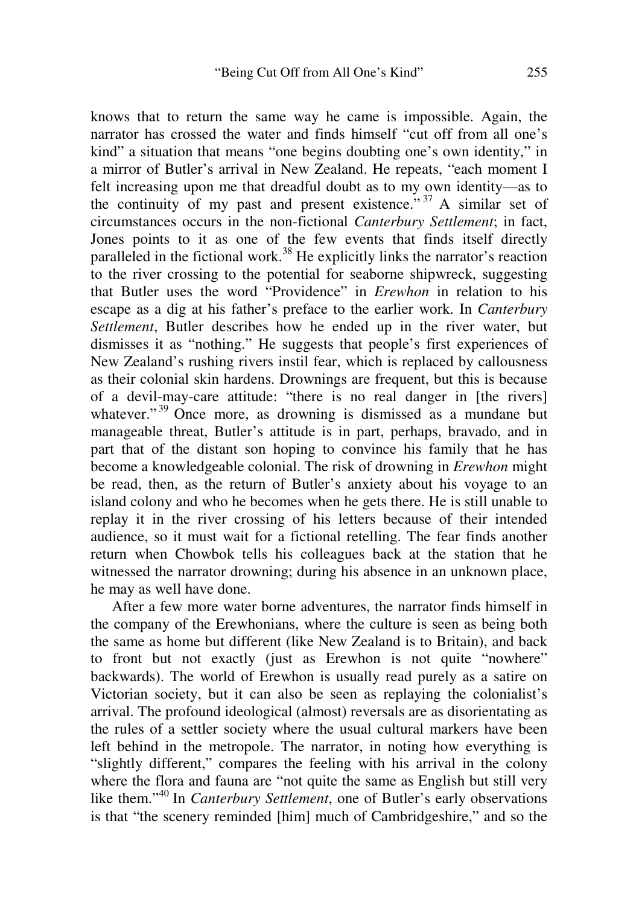knows that to return the same way he came is impossible. Again, the narrator has crossed the water and finds himself "cut off from all one's kind" a situation that means "one begins doubting one's own identity," in a mirror of Butler's arrival in New Zealand. He repeats, "each moment I felt increasing upon me that dreadful doubt as to my own identity—as to the continuity of my past and present existence.<sup> $\frac{37}{7}$ </sup> A similar set of circumstances occurs in the non-fictional *Canterbury Settlement*; in fact, Jones points to it as one of the few events that finds itself directly paralleled in the fictional work.<sup>38</sup> He explicitly links the narrator's reaction to the river crossing to the potential for seaborne shipwreck, suggesting that Butler uses the word "Providence" in *Erewhon* in relation to his escape as a dig at his father's preface to the earlier work. In *Canterbury Settlement*, Butler describes how he ended up in the river water, but dismisses it as "nothing." He suggests that people's first experiences of New Zealand's rushing rivers instil fear, which is replaced by callousness as their colonial skin hardens. Drownings are frequent, but this is because of a devil-may-care attitude: "there is no real danger in [the rivers] whatever."<sup>39</sup> Once more, as drowning is dismissed as a mundane but manageable threat, Butler's attitude is in part, perhaps, bravado, and in part that of the distant son hoping to convince his family that he has become a knowledgeable colonial. The risk of drowning in *Erewhon* might be read, then, as the return of Butler's anxiety about his voyage to an island colony and who he becomes when he gets there. He is still unable to replay it in the river crossing of his letters because of their intended audience, so it must wait for a fictional retelling. The fear finds another return when Chowbok tells his colleagues back at the station that he witnessed the narrator drowning; during his absence in an unknown place, he may as well have done.

 After a few more water borne adventures, the narrator finds himself in the company of the Erewhonians, where the culture is seen as being both the same as home but different (like New Zealand is to Britain), and back to front but not exactly (just as Erewhon is not quite "nowhere" backwards). The world of Erewhon is usually read purely as a satire on Victorian society, but it can also be seen as replaying the colonialist's arrival. The profound ideological (almost) reversals are as disorientating as the rules of a settler society where the usual cultural markers have been left behind in the metropole. The narrator, in noting how everything is "slightly different," compares the feeling with his arrival in the colony where the flora and fauna are "not quite the same as English but still very like them."<sup>40</sup> In *Canterbury Settlement*, one of Butler's early observations is that "the scenery reminded [him] much of Cambridgeshire," and so the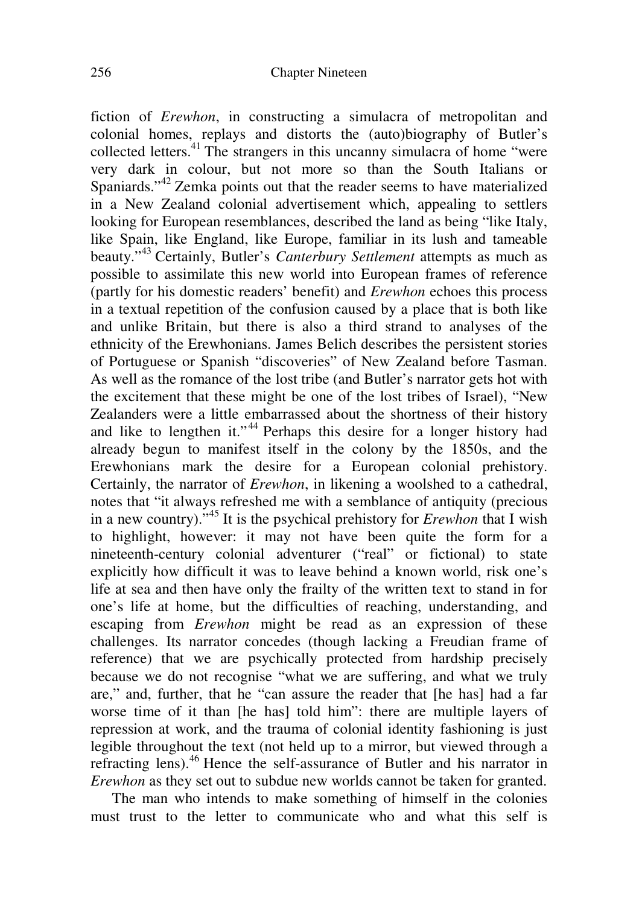fiction of *Erewhon*, in constructing a simulacra of metropolitan and colonial homes, replays and distorts the (auto)biography of Butler's collected letters.<sup>41</sup> The strangers in this uncanny simulacra of home "were very dark in colour, but not more so than the South Italians or Spaniards."<sup>42</sup> Zemka points out that the reader seems to have materialized in a New Zealand colonial advertisement which, appealing to settlers looking for European resemblances, described the land as being "like Italy, like Spain, like England, like Europe, familiar in its lush and tameable beauty."<sup>43</sup> Certainly, Butler's *Canterbury Settlement* attempts as much as possible to assimilate this new world into European frames of reference (partly for his domestic readers' benefit) and *Erewhon* echoes this process in a textual repetition of the confusion caused by a place that is both like and unlike Britain, but there is also a third strand to analyses of the ethnicity of the Erewhonians. James Belich describes the persistent stories of Portuguese or Spanish "discoveries" of New Zealand before Tasman. As well as the romance of the lost tribe (and Butler's narrator gets hot with the excitement that these might be one of the lost tribes of Israel), "New Zealanders were a little embarrassed about the shortness of their history and like to lengthen it."<sup>44</sup> Perhaps this desire for a longer history had already begun to manifest itself in the colony by the 1850s, and the Erewhonians mark the desire for a European colonial prehistory. Certainly, the narrator of *Erewhon*, in likening a woolshed to a cathedral, notes that "it always refreshed me with a semblance of antiquity (precious in a new country)."<sup>45</sup> It is the psychical prehistory for *Erewhon* that I wish to highlight, however: it may not have been quite the form for a nineteenth-century colonial adventurer ("real" or fictional) to state explicitly how difficult it was to leave behind a known world, risk one's life at sea and then have only the frailty of the written text to stand in for one's life at home, but the difficulties of reaching, understanding, and escaping from *Erewhon* might be read as an expression of these challenges. Its narrator concedes (though lacking a Freudian frame of reference) that we are psychically protected from hardship precisely because we do not recognise "what we are suffering, and what we truly are," and, further, that he "can assure the reader that [he has] had a far worse time of it than [he has] told him": there are multiple layers of repression at work, and the trauma of colonial identity fashioning is just legible throughout the text (not held up to a mirror, but viewed through a refracting lens).<sup>46</sup> Hence the self-assurance of Butler and his narrator in *Erewhon* as they set out to subdue new worlds cannot be taken for granted.

 The man who intends to make something of himself in the colonies must trust to the letter to communicate who and what this self is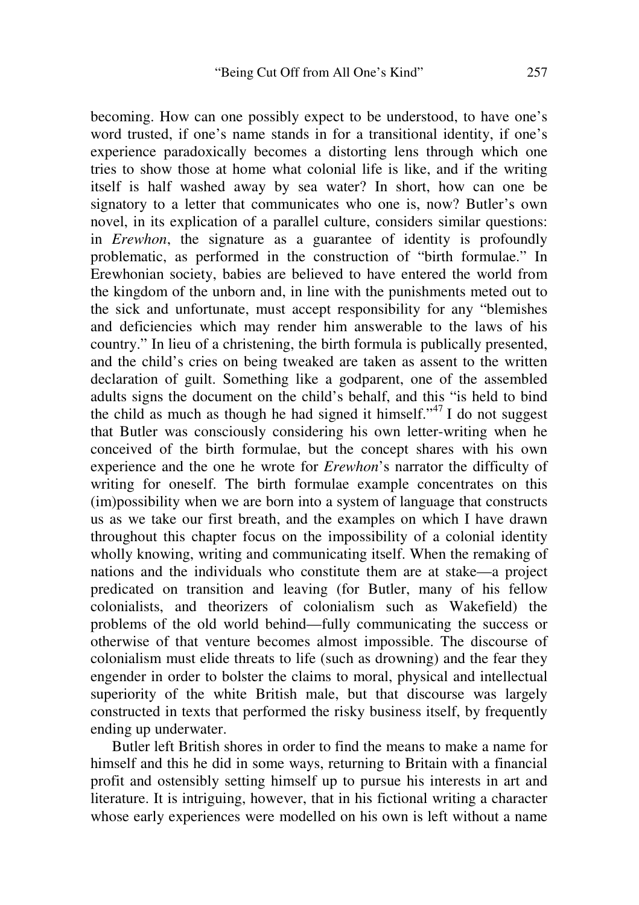becoming. How can one possibly expect to be understood, to have one's word trusted, if one's name stands in for a transitional identity, if one's experience paradoxically becomes a distorting lens through which one tries to show those at home what colonial life is like, and if the writing itself is half washed away by sea water? In short, how can one be signatory to a letter that communicates who one is, now? Butler's own novel, in its explication of a parallel culture, considers similar questions: in *Erewhon*, the signature as a guarantee of identity is profoundly problematic, as performed in the construction of "birth formulae." In Erewhonian society, babies are believed to have entered the world from the kingdom of the unborn and, in line with the punishments meted out to the sick and unfortunate, must accept responsibility for any "blemishes and deficiencies which may render him answerable to the laws of his country." In lieu of a christening, the birth formula is publically presented, and the child's cries on being tweaked are taken as assent to the written declaration of guilt. Something like a godparent, one of the assembled adults signs the document on the child's behalf, and this "is held to bind the child as much as though he had signed it himself."<sup>47</sup> I do not suggest that Butler was consciously considering his own letter-writing when he conceived of the birth formulae, but the concept shares with his own experience and the one he wrote for *Erewhon*'s narrator the difficulty of writing for oneself. The birth formulae example concentrates on this (im)possibility when we are born into a system of language that constructs us as we take our first breath, and the examples on which I have drawn throughout this chapter focus on the impossibility of a colonial identity wholly knowing, writing and communicating itself. When the remaking of nations and the individuals who constitute them are at stake—a project predicated on transition and leaving (for Butler, many of his fellow colonialists, and theorizers of colonialism such as Wakefield) the problems of the old world behind—fully communicating the success or otherwise of that venture becomes almost impossible. The discourse of colonialism must elide threats to life (such as drowning) and the fear they engender in order to bolster the claims to moral, physical and intellectual superiority of the white British male, but that discourse was largely constructed in texts that performed the risky business itself, by frequently ending up underwater.

Butler left British shores in order to find the means to make a name for himself and this he did in some ways, returning to Britain with a financial profit and ostensibly setting himself up to pursue his interests in art and literature. It is intriguing, however, that in his fictional writing a character whose early experiences were modelled on his own is left without a name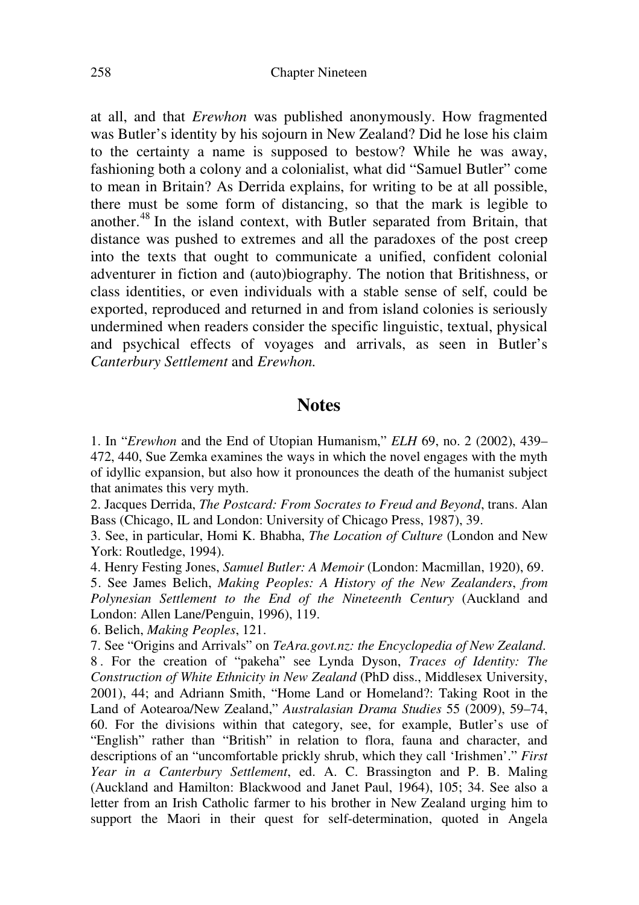at all, and that *Erewhon* was published anonymously. How fragmented was Butler's identity by his sojourn in New Zealand? Did he lose his claim to the certainty a name is supposed to bestow? While he was away, fashioning both a colony and a colonialist, what did "Samuel Butler" come to mean in Britain? As Derrida explains, for writing to be at all possible, there must be some form of distancing, so that the mark is legible to another.<sup>48</sup> In the island context, with Butler separated from Britain, that distance was pushed to extremes and all the paradoxes of the post creep into the texts that ought to communicate a unified, confident colonial adventurer in fiction and (auto)biography. The notion that Britishness, or class identities, or even individuals with a stable sense of self, could be exported, reproduced and returned in and from island colonies is seriously undermined when readers consider the specific linguistic, textual, physical and psychical effects of voyages and arrivals, as seen in Butler's *Canterbury Settlement* and *Erewhon.* 

#### **Notes**

1. In "*Erewhon* and the End of Utopian Humanism," *ELH* 69, no. 2 (2002), 439– 472, 440, Sue Zemka examines the ways in which the novel engages with the myth of idyllic expansion, but also how it pronounces the death of the humanist subject that animates this very myth.

2. Jacques Derrida, *The Postcard: From Socrates to Freud and Beyond*, trans. Alan Bass (Chicago, IL and London: University of Chicago Press, 1987), 39.

3. See, in particular, Homi K. Bhabha, *The Location of Culture* (London and New York: Routledge, 1994).

4. Henry Festing Jones, *Samuel Butler: A Memoir* (London: Macmillan, 1920), 69.

5. See James Belich, *Making Peoples: A History of the New Zealanders*, *from Polynesian Settlement to the End of the Nineteenth Century* (Auckland and London: Allen Lane/Penguin, 1996), 119.

6. Belich, *Making Peoples*, 121.

7. See "Origins and Arrivals" on *TeAra.govt.nz: the Encyclopedia of New Zealand*. 8 . For the creation of "pakeha" see Lynda Dyson, *Traces of Identity: The Construction of White Ethnicity in New Zealand* (PhD diss., Middlesex University, 2001), 44; and Adriann Smith, "Home Land or Homeland?: Taking Root in the Land of Aotearoa/New Zealand," *Australasian Drama Studies* 55 (2009), 59–74, 60. For the divisions within that category, see, for example, Butler's use of "English" rather than "British" in relation to flora, fauna and character, and descriptions of an "uncomfortable prickly shrub, which they call 'Irishmen'." *First Year in a Canterbury Settlement*, ed. A. C. Brassington and P. B. Maling (Auckland and Hamilton: Blackwood and Janet Paul, 1964), 105; 34. See also a letter from an Irish Catholic farmer to his brother in New Zealand urging him to support the Maori in their quest for self-determination, quoted in Angela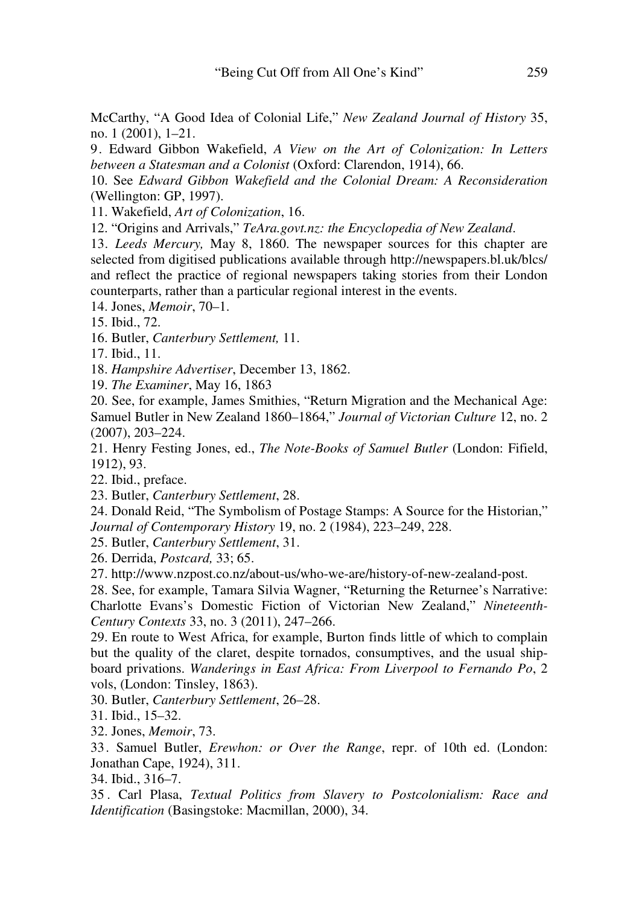McCarthy, "A Good Idea of Colonial Life," *New Zealand Journal of History* 35, no. 1 (2001), 1–21.

9. Edward Gibbon Wakefield, *A View on the Art of Colonization: In Letters between a Statesman and a Colonist* (Oxford: Clarendon, 1914), 66.

10. See *Edward Gibbon Wakefield and the Colonial Dream: A Reconsideration* (Wellington: GP, 1997).

11. Wakefield, *Art of Colonization*, 16.

12. "Origins and Arrivals," *TeAra.govt.nz: the Encyclopedia of New Zealand*.

13*. Leeds Mercury,* May 8, 1860. The newspaper sources for this chapter are selected from digitised publications available through http://newspapers.bl.uk/blcs/ and reflect the practice of regional newspapers taking stories from their London counterparts, rather than a particular regional interest in the events.

14. Jones, *Memoir*, 70–1.

15. Ibid., 72.

16. Butler, *Canterbury Settlement,* 11.

17. Ibid., 11.

18. *Hampshire Advertiser*, December 13, 1862.

19. *The Examiner*, May 16, 1863

20. See, for example, James Smithies, "Return Migration and the Mechanical Age: Samuel Butler in New Zealand 1860–1864," *Journal of Victorian Culture* 12, no. 2 (2007), 203–224.

21. Henry Festing Jones, ed., *The Note-Books of Samuel Butler* (London: Fifield, 1912), 93.

22. Ibid., preface.

23. Butler, *Canterbury Settlement*, 28.

24. Donald Reid, "The Symbolism of Postage Stamps: A Source for the Historian," *Journal of Contemporary History* 19, no. 2 (1984), 223–249, 228.

25. Butler, *Canterbury Settlement*, 31.

26. Derrida, *Postcard,* 33; 65.

27. http://www.nzpost.co.nz/about-us/who-we-are/history-of-new-zealand-post.

28. See, for example, Tamara Silvia Wagner, "Returning the Returnee's Narrative: Charlotte Evans's Domestic Fiction of Victorian New Zealand," *Nineteenth-Century Contexts* 33, no. 3 (2011), 247–266.

29. En route to West Africa, for example, Burton finds little of which to complain but the quality of the claret, despite tornados, consumptives, and the usual shipboard privations. *Wanderings in East Africa: From Liverpool to Fernando Po*, 2 vols, (London: Tinsley, 1863).

30. Butler, *Canterbury Settlement*, 26–28.

31. Ibid., 15–32.

32. Jones, *Memoir*, 73.

33. Samuel Butler, *Erewhon: or Over the Range*, repr. of 10th ed. (London: Jonathan Cape, 1924), 311.

34. Ibid., 316–7.

35 . Carl Plasa, *Textual Politics from Slavery to Postcolonialism: Race and Identification* (Basingstoke: Macmillan, 2000), 34.